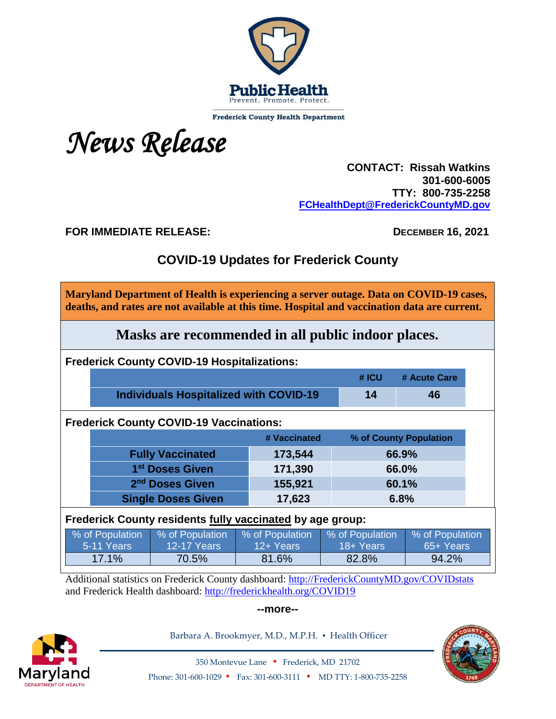

**Frederick County Health Department** 

*News Release*

 **CONTACT: Rissah Watkins 301-600-6005 TTY: 800-735-2258 [FCHealthDept@FrederickCountyMD.gov](mailto:FCHealthDept@FrederickCountyMD.gov)**

**FOR IMMEDIATE RELEASE: DECEMBER 16, 2021**

# **COVID-19 Updates for Frederick County**

**Maryland Department of Health is experiencing a server outage. Data on COVID-19 cases, deaths, and rates are not available at this time. Hospital and vaccination data are current.**

**Masks are recommended in all public indoor places.**

**Frederick County COVID-19 Hospitalizations:**

|                                        | $#$ ICU $#$ | # Acute Care |
|----------------------------------------|-------------|--------------|
| Individuals Hospitalized with COVID-19 | 14          | 46           |

**Frederick County COVID-19 Vaccinations:**

|                             | # Vaccinated | % of County Population |  |
|-----------------------------|--------------|------------------------|--|
| <b>Fully Vaccinated</b>     | 173,544      | 66.9%                  |  |
| 1 <sup>st</sup> Doses Given | 171,390      | 66.0%                  |  |
| 2 <sup>nd</sup> Doses Given | 155,921      | 60.1%                  |  |
| <b>Single Doses Given</b>   | 17,623       | 6.8%                   |  |

**Frederick County residents fully vaccinated by age group:**

| % of Population   | % of Population | % of Population | % of Population | % of Population |
|-------------------|-----------------|-----------------|-----------------|-----------------|
| <b>5-11 Years</b> | 12-17 Years     | 12+ Years       | 18+ Years       | 65+ Years       |
| 17.1%             | 70.5%           | 81.6%           | 82.8%           | 94.2%           |

Additional statistics on Frederick County dashboard: [http://FrederickCountyMD.gov/COVIDstats](http://frederickcountymd.gov/COVIDstats) and Frederick Health dashboard:<http://frederickhealth.org/COVID19>

#### **--more--**



Barbara A. Brookmyer, M.D., M.P.H. · Health Officer



350 Montevue Lane ▪ Frederick, MD 21702 Phone: 301-600-1029 • Fax: 301-600-3111 • MD TTY: 1-800-735-2258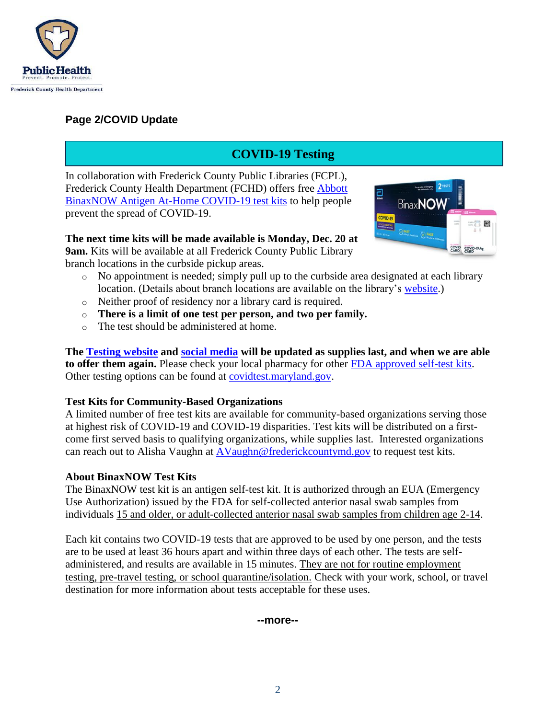

### **Page 2/COVID Update**

# **COVID-19 Testing**

In collaboration with Frederick County Public Libraries (FCPL), Frederick County Health Department (FCHD) offers free [Abbott](https://www.abbott.com/BinaxNOW-Tests-NAVICA-App.html)  BinaxNOW Antigen [At-Home COVID-19](https://www.abbott.com/BinaxNOW-Tests-NAVICA-App.html) test kits to help people prevent the spread of COVID-19.

**The next time kits will be made available is Monday, Dec. 20 at 9am.** Kits will be available at all Frederick County Public Library branch locations in the curbside pickup areas.



- o No appointment is needed; simply pull up to the curbside area designated at each library location. (Details about branch locations are available on the library's [website.](https://www.fcpl.org/branches-hours))
- o Neither proof of residency nor a library card is required.
- o **There is a limit of one test per person, and two per family.**
- o The test should be administered at home.

**The [Testing website](https://health.frederickcountymd.gov/633/10111/How-To-Get-Tested) and [social media](https://www.facebook.com/fchealthdept) will be updated as supplies last, and when we are able to offer them again.** Please check your local pharmacy for other [FDA approved self-test kits.](https://www.fda.gov/medical-devices/coronavirus-disease-2019-covid-19-emergency-use-authorizations-medical-devices/in-vitro-diagnostics-euas-antigen-diagnostic-tests-sars-cov-2) Other testing options can be found at [covidtest.maryland.gov.](http://covidtest.maryland.gov/)

#### **Test Kits for Community-Based Organizations**

A limited number of free test kits are available for community-based organizations serving those at highest risk of COVID-19 and COVID-19 disparities. Test kits will be distributed on a firstcome first served basis to qualifying organizations, while supplies last. Interested organizations can reach out to Alisha Vaughn at [AVaughn@frederickcountymd.gov](mailto:AVaughn@frederickcountymd.gov) to request test kits.

#### **About BinaxNOW Test Kits**

The BinaxNOW test kit is an antigen self-test kit. It is authorized through an EUA (Emergency Use Authorization) issued by the FDA for self-collected anterior nasal swab samples from individuals 15 and older, or adult-collected anterior nasal swab samples from children age 2-14.

Each kit contains two COVID-19 tests that are approved to be used by one person, and the tests are to be used at least 36 hours apart and within three days of each other. The tests are selfadministered, and results are available in 15 minutes. They are not for routine employment testing, pre-travel testing, or school quarantine/isolation. Check with your work, school, or travel destination for more information about tests acceptable for these uses.

#### **--more--**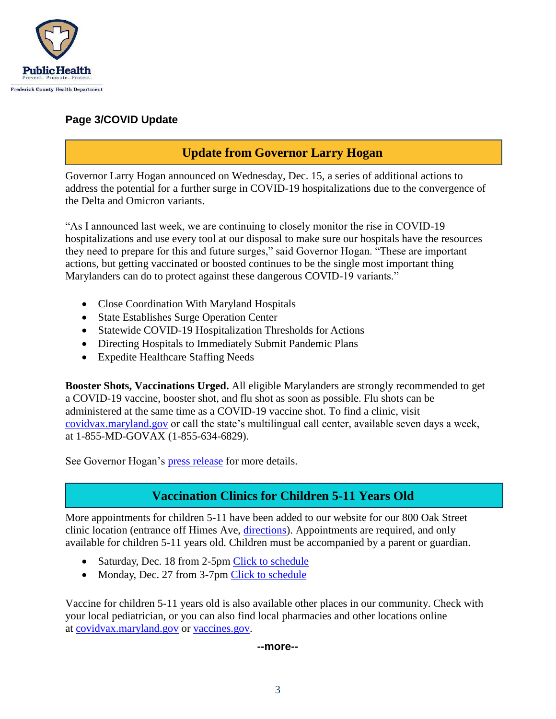

### **Page 3/COVID Update**

## **Update from Governor Larry Hogan**

Governor Larry Hogan announced on Wednesday, Dec. 15, a series of additional actions to address the potential for a further surge in COVID-19 hospitalizations due to the convergence of the Delta and Omicron variants.

"As I announced last week, we are continuing to closely monitor the rise in COVID-19 hospitalizations and use every tool at our disposal to make sure our hospitals have the resources they need to prepare for this and future surges," said Governor Hogan. "These are important actions, but getting vaccinated or boosted continues to be the single most important thing Marylanders can do to protect against these dangerous COVID-19 variants."

- Close Coordination With Maryland Hospitals
- State Establishes Surge Operation Center
- Statewide COVID-19 Hospitalization Thresholds for Actions
- Directing Hospitals to Immediately Submit Pandemic Plans
- Expedite Healthcare Staffing Needs

**Booster Shots, Vaccinations Urged.** All eligible Marylanders are strongly recommended to get a COVID-19 vaccine, booster shot, and flu shot as soon as possible. Flu shots can be administered at the same time as a COVID-19 vaccine shot. To find a clinic, visit [covidvax.maryland.gov](http://covidvax.maryland.gov/) or call the state's multilingual call center, available seven days a week, at 1-855-MD-GOVAX (1-855-634-6829).

See Governor Hogan's [press release](https://governor.maryland.gov/2021/12/15/governor-hogan-announces-additional-actions-to-further-bolster-states-response-to-rise-in-covid-19-hospitalizations/) for more details.

### **Vaccination Clinics for Children 5-11 Years Old**

More appointments for children 5-11 have been added to our website for our 800 Oak Street clinic location (entrance off Himes Ave, [directions\)](https://health.frederickcountymd.gov/DocumentCenter/View/6859/Map-and-directions-to-Frederick-County-Health-Department-Oak-Street-Vaccination-Clinic). Appointments are required, and only available for children 5-11 years old. Children must be accompanied by a parent or guardian.

- Saturday, Dec. 18 from 2-5pm [Click to schedule](https://www.marylandvax.org/appointment/en/client/registration?clinic_id=29026&find_label=find_location&return_to=%2Fappointment%2Fen%2Fclinic%2Fsearch)
- Monday, Dec. 27 from 3-7pm [Click to schedule](https://www.marylandvax.org/appointment/en/client/registration?clinic_id=29516&find_label=find_location&return_to=%2Fappointment%2Fen%2Fclinic%2Fsearch)

Vaccine for children 5-11 years old is also available other places in our community. Check with your local pediatrician, or you can also find local pharmacies and other locations online at [covidvax.maryland.gov](http://covidvax.maryland.gov/) or [vaccines.gov.](https://www.vaccines.gov/)

#### **--more--**